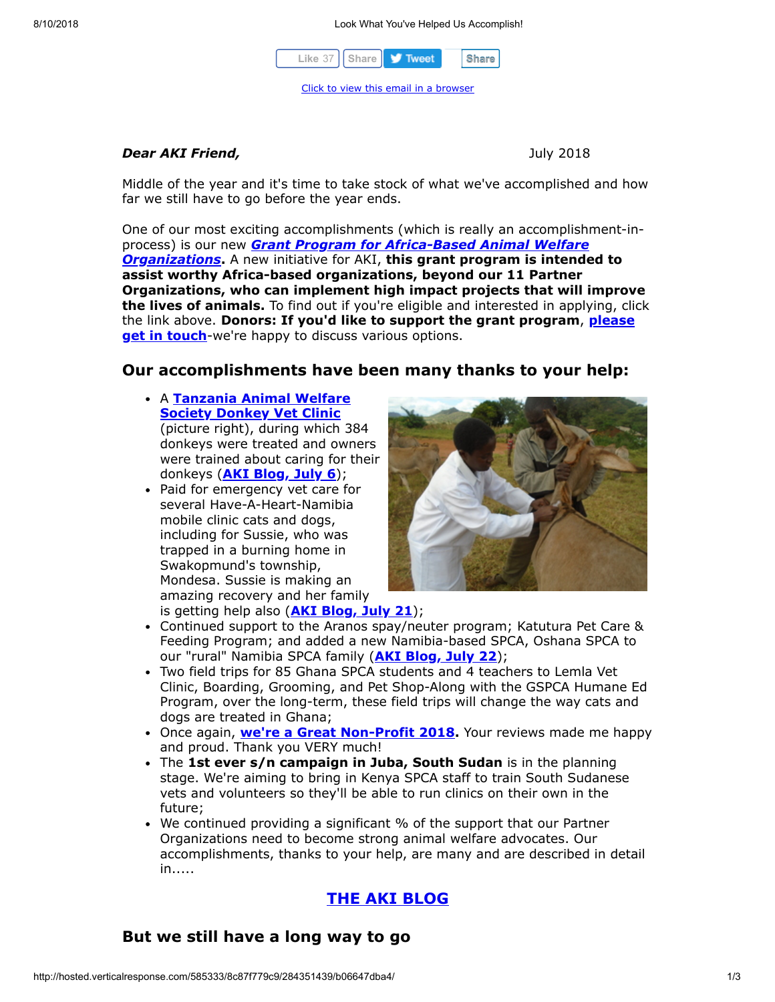

#### *Dear AKI Friend,*July 2018

Middle of the year and it's time to take stock of what we've accomplished and how far we still have to go before the year ends.

One of our most exciting accomplishments (which is really an accomplishment-inprocess) is our new *[Grant Program for Africa-Based Animal Welfare](http://cts.vresp.com/c/?AnimalKindInternatio/8c87f779c9/b06647dba4/7cb0d6987f) Organizations***.** A new initiative for AKI, **this grant program is intended to assist worthy Africa-based organizations, beyond our 11 Partner Organizations, who can implement high impact projects that will improve the lives of animals.** To find out if you're eligible and interested in applying, click the link above. **[Donors: If you'd like to support the grant program](http://cts.vresp.com/c/?AnimalKindInternatio/8c87f779c9/b06647dba4/461bb38a7c)**, **please get in touch**-we're happy to discuss various options.

## **Our accomplishments have been many thanks to your help:**

- A **Tanzania Animal Welfare [Society Donkey Vet Clinic](http://cts.vresp.com/c/?AnimalKindInternatio/8c87f779c9/b06647dba4/2f1a0323f0)** (picture right), during which 384 donkeys were treated and owners were trained about caring for their donkeys (**[AKI Blog, July 6](http://cts.vresp.com/c/?AnimalKindInternatio/8c87f779c9/b06647dba4/4aa7a8e039)**);
- Paid for emergency vet care for several Have-A-Heart-Namibia mobile clinic cats and dogs, including for Sussie, who was trapped in a burning home in Swakopmund's township, Mondesa. Sussie is making an amazing recovery and her family is getting help also (**[AKI Blog, July 21](http://cts.vresp.com/c/?AnimalKindInternatio/8c87f779c9/b06647dba4/761e4db6d8)**);



- Continued support to the Aranos spay/neuter program; Katutura Pet Care & Feeding Program; and added a new Namibia-based SPCA, Oshana SPCA to our "rural" Namibia SPCA family (**[AKI Blog, July 22](http://cts.vresp.com/c/?AnimalKindInternatio/8c87f779c9/b06647dba4/1cc717f03b)**);
- Two field trips for 85 Ghana SPCA students and 4 teachers to Lemla Vet Clinic, Boarding, Grooming, and Pet Shop-Along with the GSPCA Humane Ed Program, over the long-term, these field trips will change the way cats and dogs are treated in Ghana;
- Once again, **we're a Great Non-Profit 2018**. Your reviews made me happy and proud. Thank you VERY much!
- The **1st ever s/n campaign in Juba, South Sudan** is in the planning stage. We're aiming to bring in Kenya SPCA staff to train South Sudanese vets and volunteers so they'll be able to run clinics on their own in the future;
- We continued providing a significant % of the support that our Partner Organizations need to become strong animal welfare advocates. Our accomplishments, thanks to your help, are many and are described in detail in.....

## **[THE AKI BLOG](http://cts.vresp.com/c/?AnimalKindInternatio/8c87f779c9/b06647dba4/661396f831)**

### **But we still have a long way to go**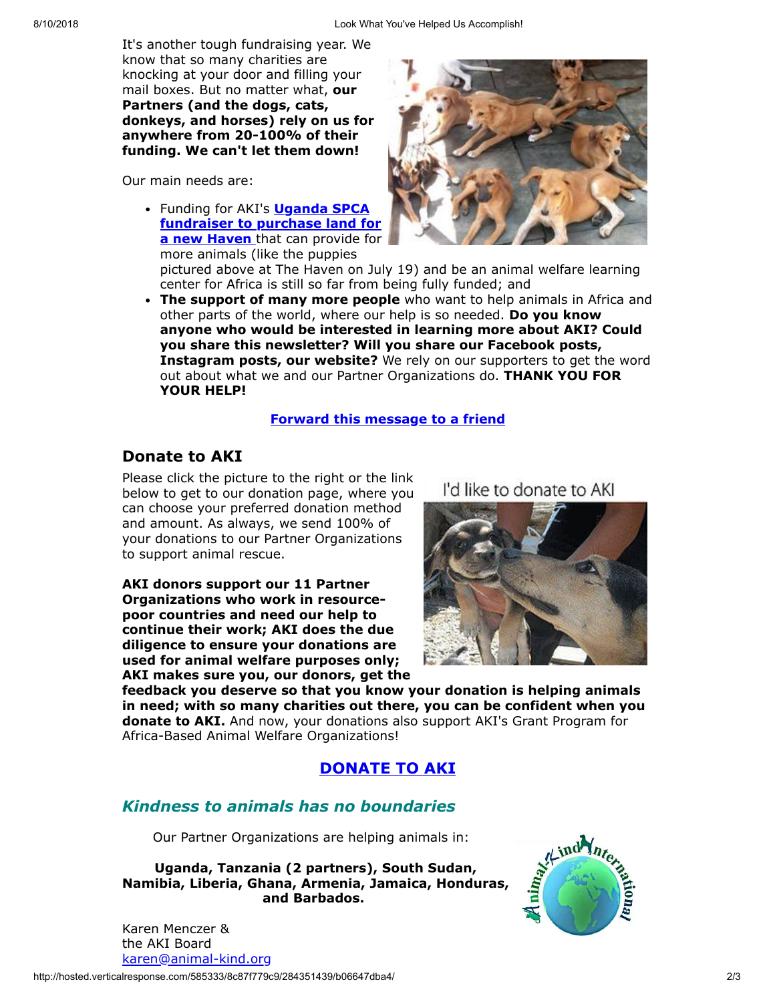It's another tough fundraising year. We know that so many charities are knocking at your door and filling your mail boxes. But no matter what, **our Partners (and the dogs, cats, donkeys, and horses) rely on us for anywhere from 20-100% of their funding. We can't let them down!**

Our main needs are:

Funding for AKI's **Uganda SPCA [fundraiser to purchase land for](http://cts.vresp.com/c/?AnimalKindInternatio/8c87f779c9/b06647dba4/0e0051f75f) a new Haven** that can provide for more animals (like the puppies



pictured above at The Haven on July 19) and be an animal welfare learning center for Africa is still so far from being fully funded; and

**The support of many more people** who want to help animals in Africa and other parts of the world, where our help is so needed. **Do you know anyone who would be interested in learning more about AKI? Could you share this newsletter? Will you share our Facebook posts, Instagram posts, our website?** We rely on our supporters to get the word out about what we and our Partner Organizations do. **THANK YOU FOR YOUR HELP!**

#### **[Forward this message to a friend](http://oi.vresp.com/f2af/v4/send_to_friend.html?ch=8c87f779c9&lid=284351439&ldh=b06647dba4)**

## **Donate to AKI**

Please click the picture to the right or the link below to get to our donation page, where you can choose your preferred donation method and amount. As always, we send 100% of your donations to our Partner Organizations to support animal rescue.

**AKI donors support our 11 Partner Organizations who work in resourcepoor countries and need our help to continue their work; AKI does the due diligence to ensure your donations are used for animal welfare purposes only; AKI makes sure you, our donors, get the** I'd like to donate to AKI



**feedback you deserve so that you know your donation is helping animals in need; with so many charities out there, you can be confident when you donate to AKI.** And now, your donations also support AKI's Grant Program for Africa-Based Animal Welfare Organizations!

## **[DONATE TO AKI](http://cts.vresp.com/c/?AnimalKindInternatio/8c87f779c9/b06647dba4/9339e337cd)**

# *Kindness to animals has no boundaries*

Our Partner Organizations are helping animals in:

**Uganda, Tanzania (2 partners), South Sudan, Namibia, Liberia, Ghana, Armenia, Jamaica, Honduras, and Barbados.**



Karen Menczer & the AKI Board [karen@animal-kind.org](mailto:karen@animal-kind.org)